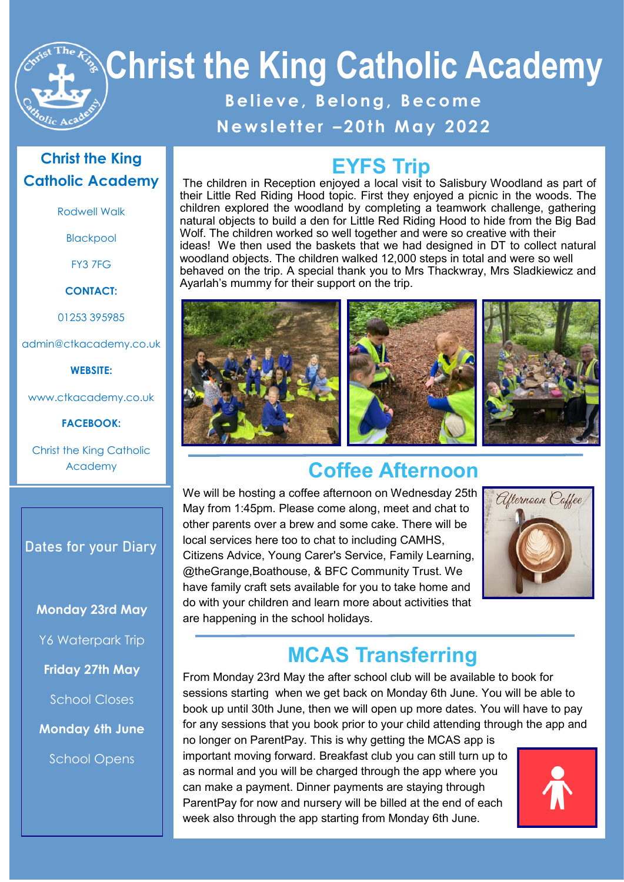

# **Christ the King Catholic Academy**

# **B e l i e v e , B e l o n g , B e c o m e**

### **N e w s l e t t e r – 2 0 t h M a y 2 02 2**

### **Christ the King Catholic Academy**

Rodwell Walk

Blackpool

FY3 7FG

**CONTACT:**

01253 395985

admin@ctkacademy.co.uk

**WEBSITE:**

www.ctkacademy.co.uk

**FACEBOOK:**

Christ the King Catholic Academy

### **Dates for your Diary**

**Monday 23rd May**

Y6 Waterpark Trip

**Friday 27th May**

School Closes

**Monday 6th June**

School Opens

## **EYFS Trip**

The children in Reception enjoyed a local visit to Salisbury Woodland as part of their Little Red Riding Hood topic. First they enjoyed a picnic in the woods. The children explored the woodland by completing a teamwork challenge, gathering natural objects to build a den for Little Red Riding Hood to hide from the Big Bad Wolf. The children worked so well together and were so creative with their ideas! We then used the baskets that we had designed in DT to collect natural woodland objects. The children walked 12,000 steps in total and were so well behaved on the trip. A special thank you to Mrs Thackwray, Mrs Sladkiewicz and Ayarlah's mummy for their support on the trip.



# **Coffee Afternoon**

We will be hosting a coffee afternoon on Wednesday 25th May from 1:45pm. Please come along, meet and chat to other parents over a brew and some cake. There will be local services here too to chat to including CAMHS, Citizens Advice, Young Carer's Service, Family Learning, @theGrange,Boathouse, & BFC Community Trust. We have family craft sets available for you to take home and do with your children and learn more about activities that are happening in the school holidays.



# **MCAS Transferring**

From Monday 23rd May the after school club will be available to book for sessions starting when we get back on Monday 6th June. You will be able to book up until 30th June, then we will open up more dates. You will have to pay for any sessions that you book prior to your child attending through the app and

no longer on ParentPay. This is why getting the MCAS app is important moving forward. Breakfast club you can still turn up to as normal and you will be charged through the app where you can make a payment. Dinner payments are staying through ParentPay for now and nursery will be billed at the end of each week also through the app starting from Monday 6th June.

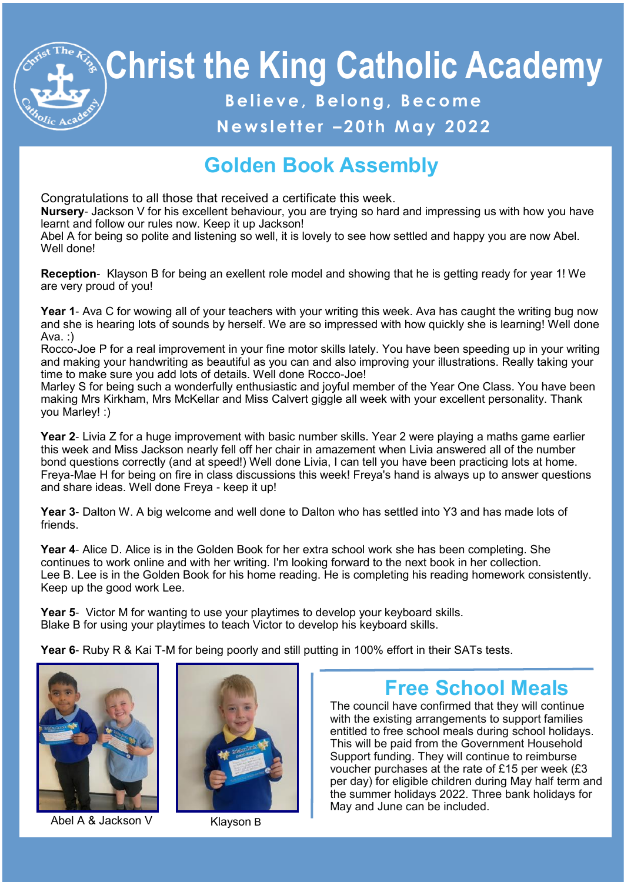# **Christ the King Catholic Academy**

# **B e l i e v e , B e l o n g , B e c o m e**

## **N e w s l e t t e r – 2 0 t h M a y 2 02 2**

# **Golden Book Assembly**

Congratulations to all those that received a certificate this week.

**Nursery**- Jackson V for his excellent behaviour, you are trying so hard and impressing us with how you have learnt and follow our rules now. Keep it up Jackson!

Abel A for being so polite and listening so well, it is lovely to see how settled and happy you are now Abel. Well done!

**Reception**- Klayson B for being an exellent role model and showing that he is getting ready for year 1! We are very proud of you!

**Year 1**- Ava C for wowing all of your teachers with your writing this week. Ava has caught the writing bug now and she is hearing lots of sounds by herself. We are so impressed with how quickly she is learning! Well done Ava. :)

Rocco-Joe P for a real improvement in your fine motor skills lately. You have been speeding up in your writing and making your handwriting as beautiful as you can and also improving your illustrations. Really taking your time to make sure you add lots of details. Well done Rocco-Joe!

Marley S for being such a wonderfully enthusiastic and joyful member of the Year One Class. You have been making Mrs Kirkham, Mrs McKellar and Miss Calvert giggle all week with your excellent personality. Thank you Marley! :)

**Year 2**- Livia Z for a huge improvement with basic number skills. Year 2 were playing a maths game earlier this week and Miss Jackson nearly fell off her chair in amazement when Livia answered all of the number bond questions correctly (and at speed!) Well done Livia, I can tell you have been practicing lots at home. Freya-Mae H for being on fire in class discussions this week! Freya's hand is always up to answer questions and share ideas. Well done Freya - keep it up!

**Year 3**- Dalton W. A big welcome and well done to Dalton who has settled into Y3 and has made lots of friends.

**Year 4**- Alice D. Alice is in the Golden Book for her extra school work she has been completing. She continues to work online and with her writing. I'm looking forward to the next book in her collection. Lee B. Lee is in the Golden Book for his home reading. He is completing his reading homework consistently. Keep up the good work Lee.

**Year 5**- Victor M for wanting to use your playtimes to develop your keyboard skills. Blake B for using your playtimes to teach Victor to develop his keyboard skills.

**Year 6**- Ruby R & Kai T-M for being poorly and still putting in 100% effort in their SATs tests.



Abel A & Jackson V Klayson B



# **Free School Meals**

The council have confirmed that they will continue with the existing arrangements to support families entitled to free school meals during school holidays. This will be paid from the Government Household Support funding. They will continue to reimburse voucher purchases at the rate of £15 per week (£3 per day) for eligible children during May half term and the summer holidays 2022. Three bank holidays for May and June can be included.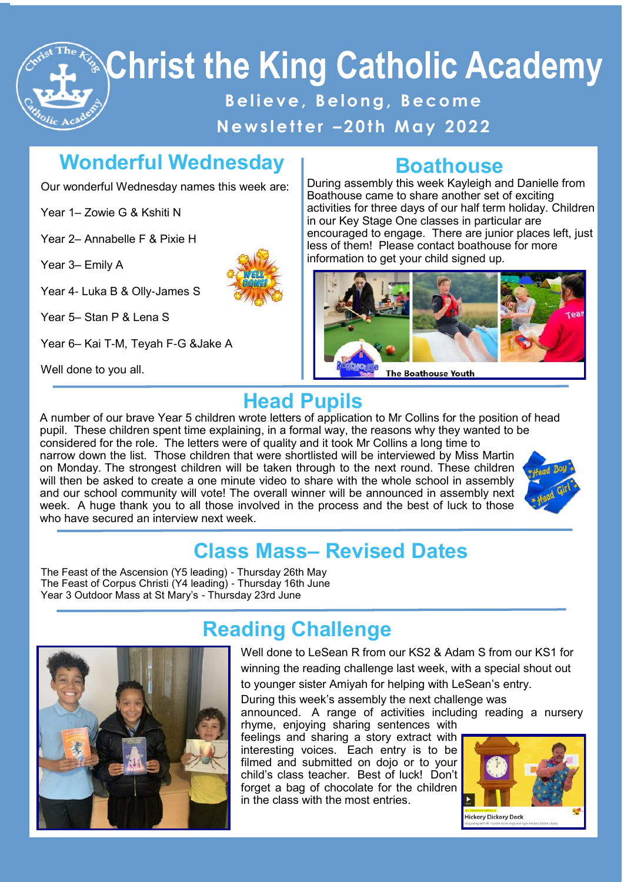# **Christ the King Catholic Academy B e l i e v e , B e l o n g , B e c o m e N e w s l e t t e r – 2 0 t h M a y 2 02 2**

# **Wonderful Wednesday**

Our wonderful Wednesday names this week are:

Year 1– Zowie G & Kshiti N

Year 2– Annabelle F & Pixie H

Year 3– Emily A

Year 4- Luka B & Olly-James S

Year 5– Stan P & Lena S

Year 6– Kai T-M, Teyah F-G &Jake A

Well done to you all.



### **Boathouse**

During assembly this week Kayleigh and Danielle from Boathouse came to share another set of exciting activities for three days of our half term holiday. Children in our Key Stage One classes in particular are encouraged to engage. There are junior places left, just less of them! Please contact boathouse for more information to get your child signed up.



# **Head Pupils**

week. A huge thank you to all those involved in the process and the best of luck to those<br>who have secured an interview next week A number of our brave Year 5 children wrote letters of application to Mr Collins for the position of head pupil. These children spent time explaining, in a formal way, the reasons why they wanted to be considered for the role. The letters were of quality and it took Mr Collins a long time to narrow down the list. Those children that were shortlisted will be interviewed by Miss Martin on Monday. The strongest children will be taken through to the next round. These children will then be asked to create a one minute video to share with the whole school in assembly and our school community will vote! The overall winner will be announced in assembly next who have secured an interview next week



# **Class Mass– Revised Dates**

The Feast of the Ascension (Y5 leading) - Thursday 26th May The Feast of Corpus Christi (Y4 leading) - Thursday 16th June Year 3 Outdoor Mass at St Mary's - Thursday 23rd June



# **Reading Challenge**

Well done to LeSean R from our KS2 & Adam S from our KS1 for winning the reading challenge last week, with a special shout out to younger sister Amiyah for helping with LeSean's entry.

During this week's assembly the next challenge was announced. A range of activities including reading a nursery

rhyme, enjoying sharing sentences with feelings and sharing a story extract with interesting voices. Each entry is to be filmed and submitted on dojo or to your child's class teacher. Best of luck! Don't forget a bag of chocolate for the children in the class with the most entries.